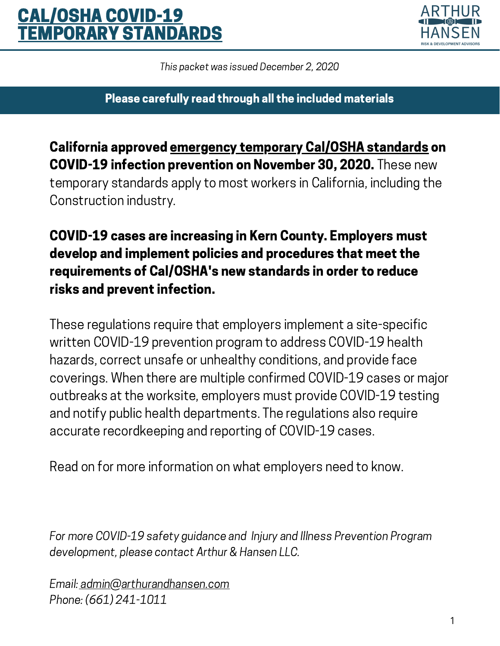# CAL/OSHA COVID-19 **EMPORARY STANDARDS**



This packet was issued December 2, 2020

Please carefully read through all the included materials

California approved [emergency](https://www.dir.ca.gov/oshsb/documents/COVID-19-Prevention-Emergency-apprvdtxt.pdf) temporary Cal/OSHA standards on COVID-19 infection prevention on November 30, 2020. These new temporary standards apply to most workers in California, including the Construction industry.

COVID-19 cases are increasing in Kern County. Employers must develop and implement policies and procedures that meet the requirements of Cal/OSHA's new standards in order to reduce risks and prevent infection.

These regulations require that employers implement a site-specific written COVID-19 prevention program to address COVID-19 health hazards, correct unsafe or unhealthy conditions, and provide face coverings. When there are multiple confirmed COVID-19 cases or major outbreaks at the worksite, employers must provide COVID-19 testing and notify public health departments. The regulations also require accurate recordkeeping and reporting of COVID-19 cases.

Read on for more information on what employers need to know.

For more COVID-19 safety guidance and Injury and Illness Prevention Program development, please contact Arthur & Hansen LLC.

Email: [admin@arthurandhansen.com](http://www.arthurandhansen.com/) Phone: (661) 241-1011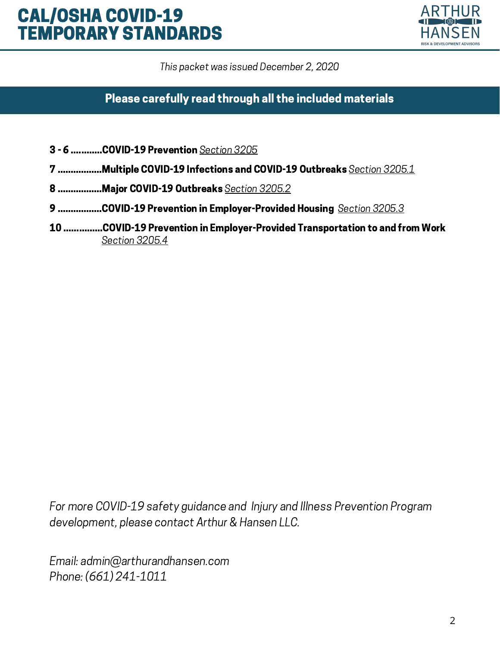# CAL/OSHA COVID-19 TEMPORARY STANDARDS



This packet was issued December 2, 2020

Please carefully read through all the included materials

- 3 6 ............COVID-19 Prevention [Section](https://www.dir.ca.gov/oshsb/documents/COVID-19-Prevention-Emergency-apprvdtxt.pdf) 3205
- 7 .................Multiple COVID-19 Infections and COVID-19 Outbreaks [Section](https://www.dir.ca.gov/oshsb/documents/COVID-19-Prevention-Emergency-apprvdtxt.pdf#page=13) 3205.1
- 8 ..................Major COVID-19 Outbreaks [Section](https://www.dir.ca.gov/oshsb/documents/COVID-19-Prevention-Emergency-apprvdtxt.pdf#page=15) 3205.2
- 9 .................COVID-19 Prevention in Employer-Provided Housing [Section](https://www.dir.ca.gov/oshsb/documents/COVID-19-Prevention-Emergency-apprvdtxt.pdf#page=17) 3205.3
- 10 ...............COVID-19 Prevention in Employer-Provided Transportation to and from Work [Section](https://www.dir.ca.gov/oshsb/documents/COVID-19-Prevention-Emergency-apprvdtxt.pdf#page=20) 3205.4

For more COVID-19 safety guidance and Injury and Illness Prevention Program development, please contact Arthur & Hansen LLC.

Email: admin@arthurandhansen.com Phone: (661) 241-1011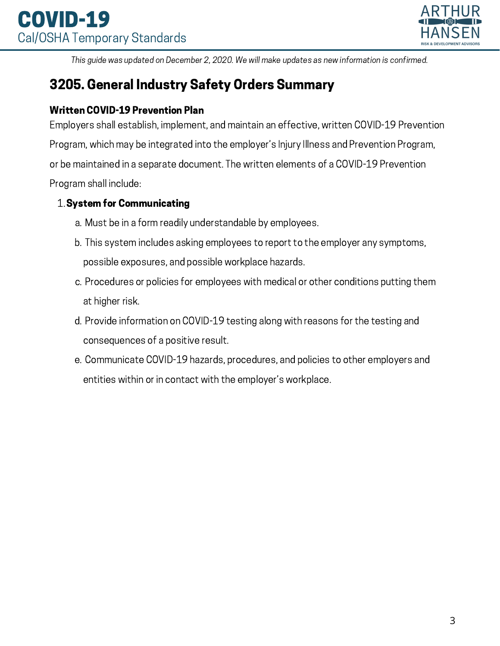

# 3205. General Industry Safety Orders Summary

#### Written COVID-19 Prevention Plan

Employers shall establish, implement, and maintain an effective, written COVID-19 Prevention Program, which may be integrated into the employer's Injury Illness and Prevention Program, or be maintained in a separate document. The written elements of a COVID-19 Prevention Program shall include:

#### 1. System for Communicating

- Must be in a form readily understandable by employees. a.
- This system includes asking employees to report to the employer any symptoms, b. possible exposures, and possible workplace hazards.
- c. Procedures or policies for employees with medical or other conditions putting them at higher risk.
- d. Provide information on COVID-19 testing along with reasons for the testing and consequences of a positive result.
- e. Communicate COVID-19 hazards, procedures, and policies to other employers and entities within or in contact with the employer's workplace.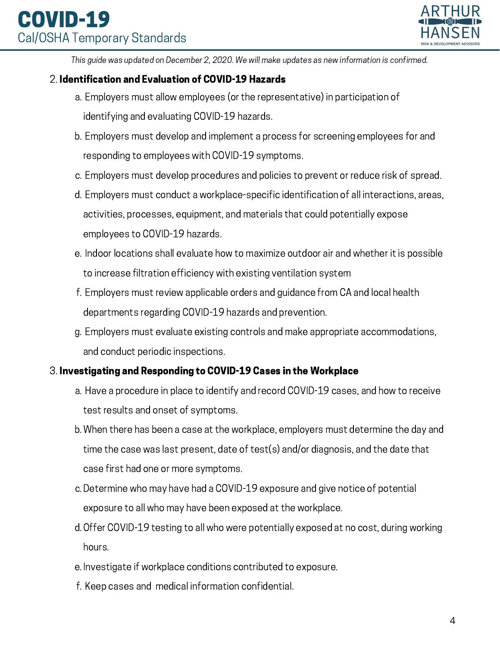

#### 2. Identification and Evaluation of COVID-19 Hazards

- Employers must allow employees (or the representative) in participation of a. identifying and evaluating COVID-19 hazards.
- Employers must develop and implement a process for screening employees for and b. responding to employees with COVID-19 symptoms.
- Employers must develop procedures and policies to prevent or reduce risk of spread. c.
- Employers must conduct a workplace-specific identification of all interactions, areas, d. activities, processes, equipment, and materials that could potentially expose employees to COVID-19 hazards.
- e. Indoor locations shall evaluate how to maximize outdoor air and whether it is possible to increase filtration efficiency with existing ventilation system
- Employers must review applicable orders and guidance from CA and local health f. departments regarding COVID-19 hazards and prevention.
- Employers must evaluate existing controls and make appropriate accommodations, g. and conduct periodic inspections.

### 3. Investigating and Responding to COVID-19 Cases in the Workplace

- a. Have a procedure in place to identify and record COVID-19 cases, and how to receive test results and onset of symptoms.
- When there has been a case at the workplace, employers must determine the day and b. time the case was last present, date of test(s) and/or diagnosis, and the date that case first had one or more symptoms.
- Determine who may have had a COVID-19 exposure and give notice of potential c. exposure to all who may have been exposed at the workplace.
- d. Offer COVID-19 testing to all who were potentially exposed at no cost, during working hours.
- e. Investigate if workplace conditions contributed to exposure.
- f. Keep cases and medical information confidential.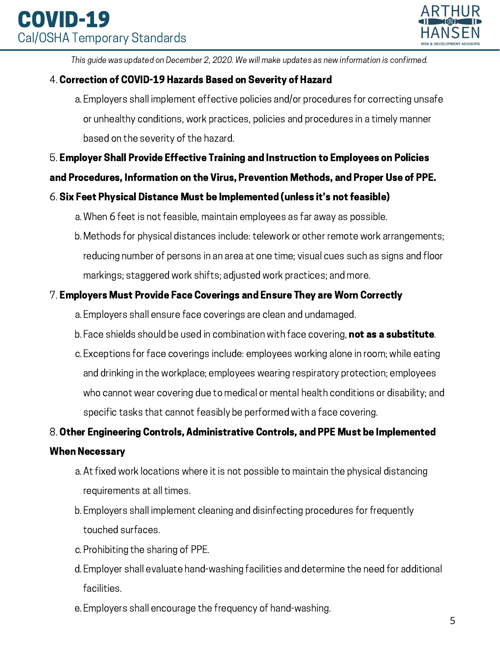

### 4. Correction of COVID-19 Hazards Based on Severity of Hazard

Employers shall implement effective policies and/or procedures for correcting unsafe a. or unhealthy conditions, work practices, policies and procedures in a timely manner based on the severity of the hazard.

### 5. Employer Shall Provide Effective Training and Instruction to Employees on Policies

#### and Procedures, Information on the Virus, Prevention Methods, and Proper Use of PPE.

### 6. Six Feet Physical Distance Must be Implemented (unless it's not feasible)

- When 6 feet is not feasible, maintain employees as far away as possible. a.
- Methods for physical distances include: telework or other remote work arrangements; b. reducing number of persons in an area at one time; visual cues such as signs and floor markings; staggered work shifts; adjusted work practices; and more.

#### 7. Employers Must Provide Face Coverings and Ensure They are Worn Correctly

- Employers shall ensure face coverings are clean and undamaged. a.
- b. Face shields should be used in combination with face covering, **not as a substitute**.
- Exceptions for face coverings include: employees working alone in room; while eating c. and drinking in the workplace; employees wearing respiratory protection; employees who cannot wear covering due to medical or mental health conditions or disability; and specific tasks that cannot feasibly be performed with a face covering.

#### 8. Other Engineering Controls, Administrative Controls, and PPE Must be Implemented

#### When Necessary

- At fixed work locations where it is not possible to maintain the physical distancing a. requirements at all times.
- Employers shall implement cleaning and disinfecting procedures for frequently b. touched surfaces.
- Prohibiting the sharing of PPE. c.
- Employer shall evaluate hand-washing facilities and determine the need for additional d. facilities.
- Employers shall encourage the frequency of hand-washing. e.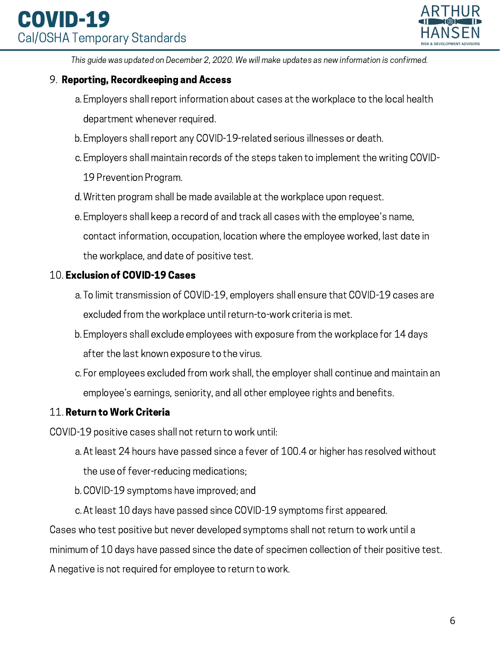# COVID-19 Cal/OSHA Temporary Standards



This guide was updated on December 2, 2020. We will make updates as new information is confirmed.

#### 9. Reporting, Recordkeeping and Access

- Employers shall report information about cases at the workplace to the local health a. department whenever required.
- Employers shall report any COVID-19-related serious illnesses or death. b.
- Employers shall maintain records of the steps taken to implement the writing COVID-c. 19 Prevention Program.
- Written program shall be made available at the workplace upon request. d.
- Employers shall keep a record of and track all cases with the employee's name, e. contact information, occupation, location where the employee worked, last date in the workplace, and date of positive test.

#### 10. Exclusion of COVID-19 Cases

- To limit transmission of COVID-19, employers shall ensure that COVID-19 cases are a. excluded from the workplace until return-to-work criteria is met.
- Employers shall exclude employees with exposure from the workplace for 14 days b. after the last known exposure to the virus.
- For employees excluded from work shall, the employer shall continue and maintain an c. employee's earnings, seniority, and all other employee rights and benefits.

### 11. Return to Work Criteria

COVID-19 positive cases shall not return to work until:

- At least 24 hours have passed since a fever of 100.4 or higher has resolved without a.
	- the use of fever-reducing medications;
- COVID-19 symptoms have improved; and b.
- At least 10 days have passed since COVID-19 symptoms first appeared. c.

Cases who test positive but never developed symptoms shall not return to work until a minimum of 10 days have passed since the date of specimen collection of their positive test. A negative is not required for employee to return to work.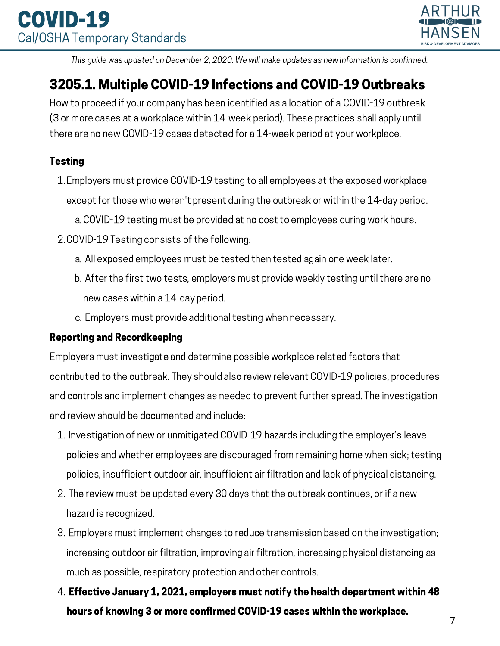

# 3205.1. Multiple COVID-19 Infections and COVID-19 Outbreaks

How to proceed if your company has been identified as a location of a COVID-19 outbreak (3 or more cases at a workplace within 14-week period). These practices shall apply until there are no new COVID-19 cases detected for a 14-week period at your workplace.

## **Testing**

- Employers must provide COVID-19 testing to all employees at the exposed workplace 1. except for those who weren't present during the outbreak or within the 14-day period.
	- COVID-19 testing must be provided at no cost to employees during work hours. a.
- 2. COVID-19 Testing consists of the following:
	- All exposed employees must be tested then tested again one week later. a.
	- After the first two tests, employers must provide weekly testing until there are no b. new cases within a 14-day period.
	- Employers must provide additional testing when necessary. c.

# Reporting and Recordkeeping

Employers must investigate and determine possible workplace related factors that contributed to the outbreak. They should also review relevant COVID-19 policies, procedures and controls and implement changes as needed to prevent further spread. The investigation and review should be documented and include:

- 1. Investigation of new or unmitigated COVID-19 hazards including the employer's leave policies and whether employees are discouraged from remaining home when sick; testing policies, insufficient outdoor air, insufficient air filtration and lack of physical distancing.
- 2. The review must be updated every 30 days that the outbreak continues, or if a new hazard is recognized.
- Employers must implement changes to reduce transmission based on the investigation; 3. increasing outdoor air filtration, improving air filtration, increasing physical distancing as much as possible, respiratory protection and other controls.
- $4_\cdot$  Effective January 1, 2021, emplovers must notify the health department within 48  $^+$ hours of knowing 3 or more confirmed COVID-19 cases within the workplace.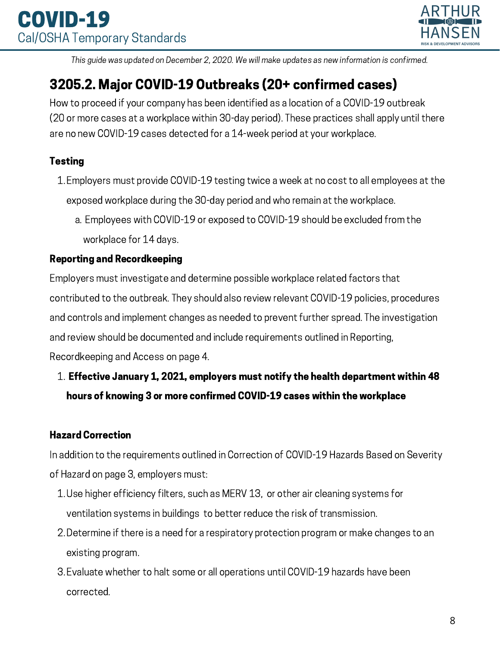

# 3205.2. Major COVID-19 Outbreaks (20+ confirmed cases)

How to proceed if your company has been identified as a location of a COVID-19 outbreak (20 or more cases at a workplace within 30-day period). These practices shall apply until there are no new COVID-19 cases detected for a 14-week period at your workplace.

# **Testing**

- Employers must provide COVID-19 testing twice a week at no cost to all employees at the 1. exposed workplace during the 30-day period and who remain at the workplace.
	- Employees with COVID-19 or exposed to COVID-19 should be excluded from the a. workplace for 14 days.

## Reporting and Recordkeeping

Employers must investigate and determine possible workplace related factors that contributed to the outbreak. They should also review relevant COVID-19 policies, procedures and controls and implement changes as needed to prevent further spread. The investigation and review should be documented and include requirements outlined in Reporting, Recordkeeping and Access on page 4.

# $1.$  Effective January 1, 2021, employers must notify the health department within 48  $\,$ hours of knowing 3 or more confirmed COVID-19 cases within the workplace

# Hazard Correction

In addition to the requirements outlined in Correction of COVID-19 Hazards Based on Severity of Hazard on page 3, employers must:

- Use higher efficiency filters, such as MERV 13, or other air cleaning systems for 1. ventilation systems in buildings to better reduce the risk of transmission.
- Determine if there is a need for a respiratory protection program or make changes to an 2. existing program.
- Evaluate whether to halt some or all operations until COVID-19 hazards have been 3. corrected.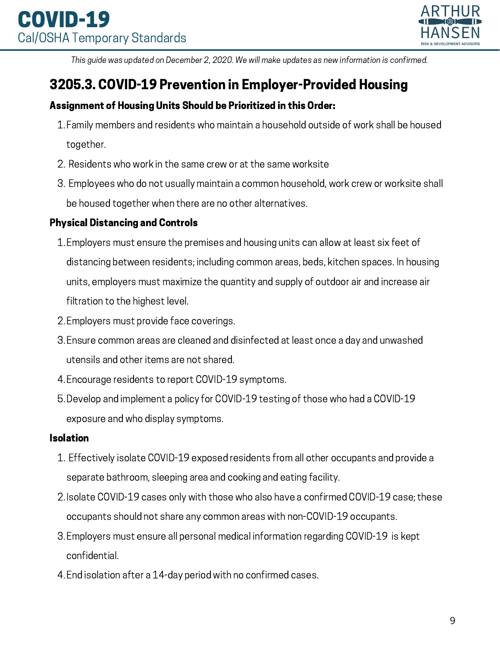

# 3205.3. COVID-19 Prevention in Employer-Provided Housing

## Assignment of Housing Units Should be Prioritized in this Order:

- Family members and residents who maintain a household outside of work shall be housed 1. together.
- 2. Residents who work in the same crew or at the same worksite
- Employees who do not usually maintain a common household, work crew or worksite shall 3. be housed together when there are no other alternatives.

## Physical Distancing and Controls

- Employers must ensure the premises and housing units can allow at least six feet of 1. distancing between residents; including common areas, beds, kitchen spaces. In housing units, employers must maximize the quantity and supply of outdoor air and increase air filtration to the highest level.
- 2. Employers must provide face coverings.
- Ensure common areas are cleaned and disinfected at least once a day and unwashed 3. utensils and other items are not shared.
- Encourage residents to report COVID-19 symptoms. 4.
- Develop and implement a policy for COVID-19 testing of those who had a COVID-19 5. exposure and who display symptoms.

### Isolation

- Effectively isolate COVID-19 exposed residents from all other occupants and provide a 1. separate bathroom, sleeping area and cooking and eating facility.
- 2. Isolate COVID-19 cases only with those who also have a confirmed COVID-19 case; these occupants should not share any common areas with non-COVID-19 occupants.
- Employers must ensure all personal medical information regarding COVID-19 is kept 3. confidential.
- End isolation after a 14-day period with no confirmed cases. 4.